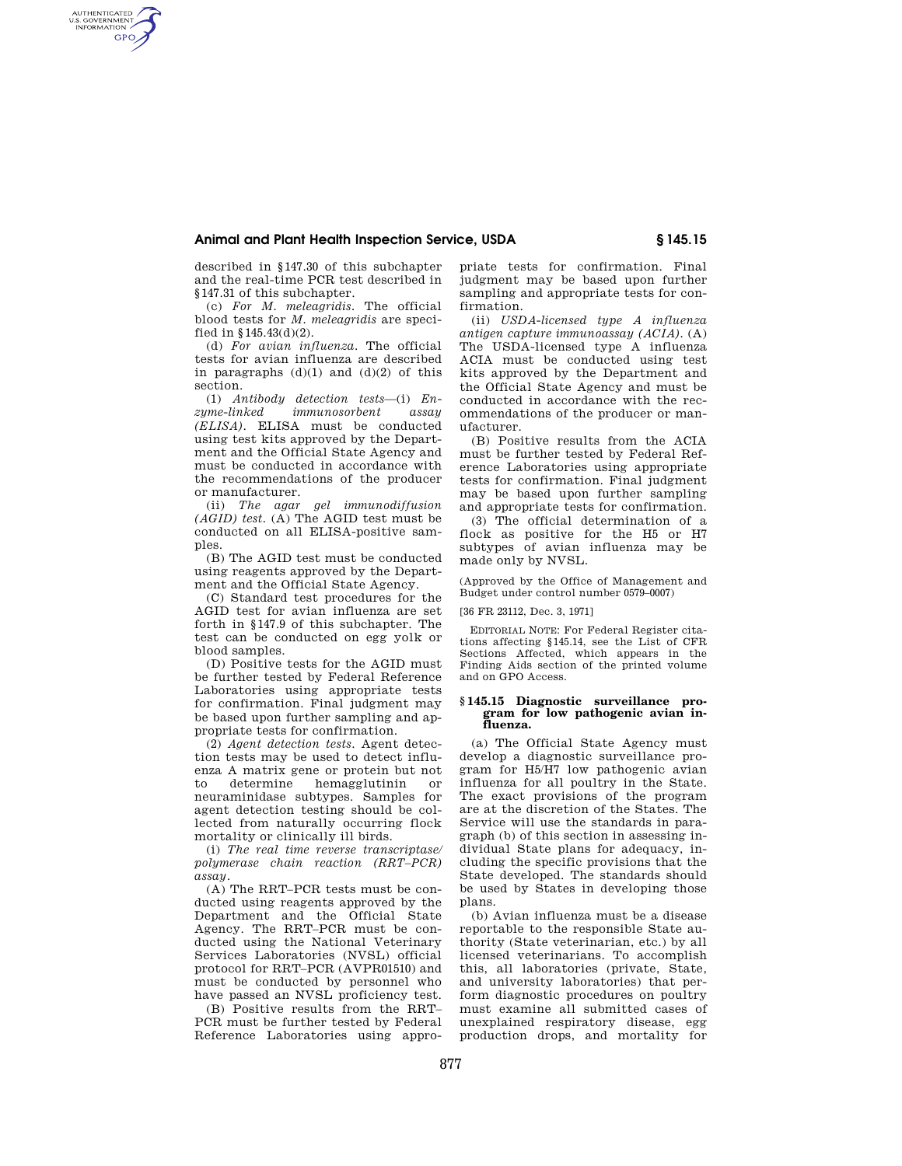## **Animal and Plant Health Inspection Service, USDA § 145.15**

described in §147.30 of this subchapter and the real-time PCR test described in §147.31 of this subchapter.

AUTHENTICATED<br>U.S. GOVERNMENT<br>INFORMATION **GPO** 

> (c) *For M. meleagridis.* The official blood tests for *M. meleagridis* are specified in §145.43(d)(2).

> (d) *For avian influenza*. The official tests for avian influenza are described in paragraphs  $(d)(1)$  and  $(d)(2)$  of this section.

> (1) *Antibody detection tests*—(i) *En* $immunosor bent$ *(ELISA)*. ELISA must be conducted using test kits approved by the Department and the Official State Agency and must be conducted in accordance with the recommendations of the producer or manufacturer.

> (ii) *The agar gel immunodiffusion (AGID) test.* (A) The AGID test must be conducted on all ELISA-positive samples.

> (B) The AGID test must be conducted using reagents approved by the Department and the Official State Agency.

> (C) Standard test procedures for the AGID test for avian influenza are set forth in §147.9 of this subchapter. The test can be conducted on egg yolk or blood samples.

> (D) Positive tests for the AGID must be further tested by Federal Reference Laboratories using appropriate tests for confirmation. Final judgment may be based upon further sampling and appropriate tests for confirmation.

> (2) *Agent detection tests*. Agent detection tests may be used to detect influenza A matrix gene or protein but not to determine hemagglutinin or neuraminidase subtypes. Samples for agent detection testing should be collected from naturally occurring flock mortality or clinically ill birds.

> (i) *The real time reverse transcriptase/ polymerase chain reaction (RRT–PCR) assay.*

(A) The RRT–PCR tests must be conducted using reagents approved by the Department and the Official State Agency. The RRT–PCR must be conducted using the National Veterinary Services Laboratories (NVSL) official protocol for RRT–PCR (AVPR01510) and must be conducted by personnel who have passed an NVSL proficiency test.

(B) Positive results from the RRT– PCR must be further tested by Federal Reference Laboratories using appro-

priate tests for confirmation. Final judgment may be based upon further sampling and appropriate tests for confirmation.

(ii) *USDA-licensed type A influenza antigen capture immunoassay (ACIA).* (A) The USDA-licensed type A influenza ACIA must be conducted using test kits approved by the Department and the Official State Agency and must be conducted in accordance with the recommendations of the producer or manufacturer.

(B) Positive results from the ACIA must be further tested by Federal Reference Laboratories using appropriate tests for confirmation. Final judgment may be based upon further sampling and appropriate tests for confirmation.

(3) The official determination of a flock as positive for the H5 or H7 subtypes of avian influenza may be made only by NVSL.

(Approved by the Office of Management and Budget under control number 0579–0007)

[36 FR 23112, Dec. 3, 1971]

EDITORIAL NOTE: For Federal Register citations affecting §145.14, see the List of CFR Sections Affected, which appears in the Finding Aids section of the printed volume and on GPO Access.

#### **§ 145.15 Diagnostic surveillance program for low pathogenic avian influenza.**

(a) The Official State Agency must develop a diagnostic surveillance program for H5/H7 low pathogenic avian influenza for all poultry in the State. The exact provisions of the program are at the discretion of the States. The Service will use the standards in paragraph (b) of this section in assessing individual State plans for adequacy, including the specific provisions that the State developed. The standards should be used by States in developing those plans.

(b) Avian influenza must be a disease reportable to the responsible State authority (State veterinarian, etc.) by all licensed veterinarians. To accomplish this, all laboratories (private, State, and university laboratories) that perform diagnostic procedures on poultry must examine all submitted cases of unexplained respiratory disease, egg production drops, and mortality for